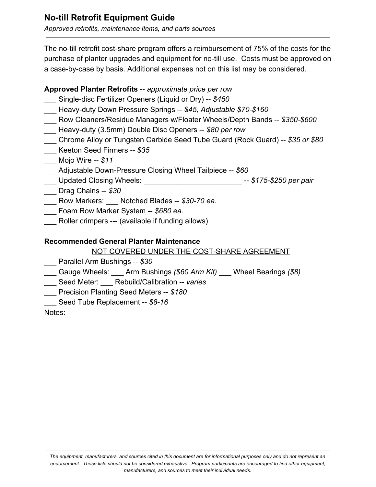# **No-till Retrofit Equipment Guide**

*Approved retrofits, maintenance items, and parts sources*

The no-till retrofit cost-share program offers a reimbursement of 75% of the costs for the purchase of planter upgrades and equipment for no-till use. Costs must be approved on a case-by-case by basis. Additional expenses not on this list may be considered.

## **Approved Planter Retrofits** -- *approximate price per row \_\_\_* Single-disc Fertilizer Openers (Liquid or Dry) -- *\$450* \_\_\_ Heavy-duty Down Pressure Springs -- *\$45, Adjustable \$70-\$160* \_\_\_ Row Cleaners/Residue Managers w/Floater Wheels/Depth Bands -- *\$350-\$600 \_\_\_* Heavy-duty (3.5mm) Double Disc Openers -- *\$80 per row* \_\_\_ Chrome Alloy or Tungsten Carbide Seed Tube Guard (Rock Guard) -- *\$35 or \$80* \_\_\_ Keeton Seed Firmers -- *\$35 \_\_\_* Mojo Wire -- *\$11* \_\_\_ Adjustable Down-Pressure Closing Wheel Tailpiece -- *\$60* \_\_\_ Updated Closing Wheels: \_\_\_\_\_\_\_\_\_\_\_\_\_\_\_\_\_\_\_\_\_\_\_\_ -- *\$175-\$250 per pair* \_\_\_ Drag Chains -- *\$30*

- \_\_\_ Row Markers: \_\_\_ Notched Blades -- *\$30-70 ea.*
- \_\_\_ Foam Row Marker System -- *\$680 ea.*
- Roller crimpers --- (available if funding allows)

### **Recommended General Planter Maintenance**

#### NOT COVERED UNDER THE COST-SHARE AGREEMENT

- \_\_\_ Parallel Arm Bushings -- *\$30*
- \_\_\_ Gauge Wheels: \_\_\_ Arm Bushings *(\$60 Arm Kit)* \_\_\_ Wheel Bearings *(\$8)*
- \_\_\_ Seed Meter: \_\_\_ Rebuild/Calibration -- *varies*
- \_\_\_ Precision Planting Seed Meters -- *\$180*
- \_\_\_ Seed Tube Replacement -- *\$8-16*

Notes: